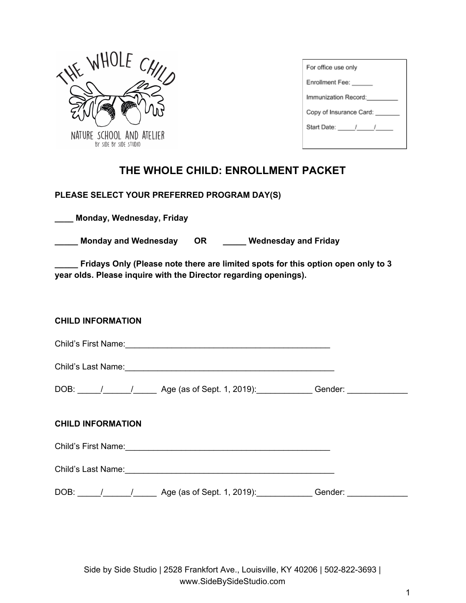

| For office use only     |  |  |
|-------------------------|--|--|
| Enrollment Fee:         |  |  |
| Immunization Record:    |  |  |
| Copy of Insurance Card: |  |  |
| Start Date: / /         |  |  |
|                         |  |  |

# **THE WHOLE CHILD: ENROLLMENT PACKET**

## **PLEASE SELECT YOUR PREFERRED PROGRAM DAY(S)**

**\_\_\_\_ Monday, Wednesday, Friday**

**\_\_\_\_\_ Monday and Wednesday OR \_\_\_\_\_ Wednesday and Friday**

**\_\_\_\_\_ Fridays Only (Please note there are limited spots for this option open only to 3 year olds. Please inquire with the Director regarding openings).**

### **CHILD INFORMATION**

Child's First Name:\_\_\_\_\_\_\_\_\_\_\_\_\_\_\_\_\_\_\_\_\_\_\_\_\_\_\_\_\_\_\_\_\_\_\_\_\_\_\_\_\_\_\_\_

Child's Last Name:\_\_\_\_\_\_\_\_\_\_\_\_\_\_\_\_\_\_\_\_\_\_\_\_\_\_\_\_\_\_\_\_\_\_\_\_\_\_\_\_\_\_\_\_\_

| DOB: | Age (as of Sept. 1, 2019): | Gender: |
|------|----------------------------|---------|
|      |                            |         |

## **CHILD INFORMATION**

Child's First Name:\_\_\_\_\_\_\_\_\_\_\_\_\_\_\_\_\_\_\_\_\_\_\_\_\_\_\_\_\_\_\_\_\_\_\_\_\_\_\_\_\_\_\_\_

Child's Last Name:

DOB:  $\frac{1}{\sqrt{2}}$  /  $\frac{1}{\sqrt{2}}$  Age (as of Sept. 1, 2019):  $\frac{1}{\sqrt{2}}$  Gender: \_\_\_\_\_\_\_\_\_\_\_\_\_\_\_\_\_\_\_

Side by Side Studio | 2528 Frankfort Ave., Louisville, KY 40206 | 502-822-3693 | www.SideBySideStudio.com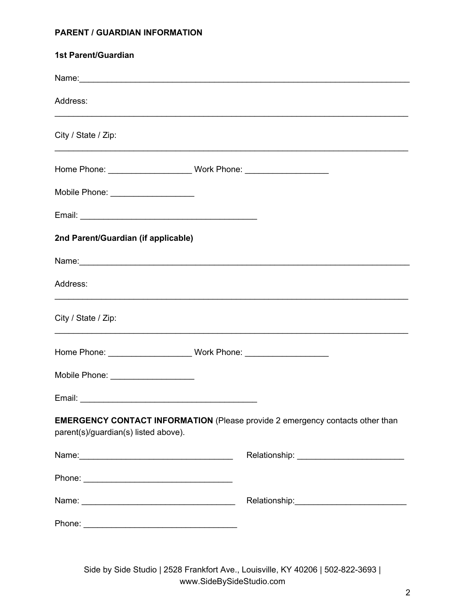# **PARENT / GUARDIAN INFORMATION**

| <b>1st Parent/Guardian</b>                                                                                                                                                                                                    |  |  |
|-------------------------------------------------------------------------------------------------------------------------------------------------------------------------------------------------------------------------------|--|--|
| Name: Name: Name: Name: Name: Name: Name: Name: Name: Name: Name: Name: Name: Name: Name: Name: Name: Name: Name: Name: Name: Name: Name: Name: Name: Name: Name: Name: Name: Name: Name: Name: Name: Name: Name: Name: Name: |  |  |
| Address:                                                                                                                                                                                                                      |  |  |
| City / State / Zip:                                                                                                                                                                                                           |  |  |
|                                                                                                                                                                                                                               |  |  |
| Mobile Phone: ____________________                                                                                                                                                                                            |  |  |
|                                                                                                                                                                                                                               |  |  |
| 2nd Parent/Guardian (if applicable)                                                                                                                                                                                           |  |  |
|                                                                                                                                                                                                                               |  |  |
| Address:                                                                                                                                                                                                                      |  |  |
| City / State / Zip:                                                                                                                                                                                                           |  |  |
|                                                                                                                                                                                                                               |  |  |
| Mobile Phone: ___________________                                                                                                                                                                                             |  |  |
|                                                                                                                                                                                                                               |  |  |
| <b>EMERGENCY CONTACT INFORMATION</b> (Please provide 2 emergency contacts other than<br>parent(s)/guardian(s) listed above).                                                                                                  |  |  |
|                                                                                                                                                                                                                               |  |  |
|                                                                                                                                                                                                                               |  |  |
|                                                                                                                                                                                                                               |  |  |
|                                                                                                                                                                                                                               |  |  |

Side by Side Studio | 2528 Frankfort Ave., Louisville, KY 40206 | 502-822-3693 | www.SideBySideStudio.com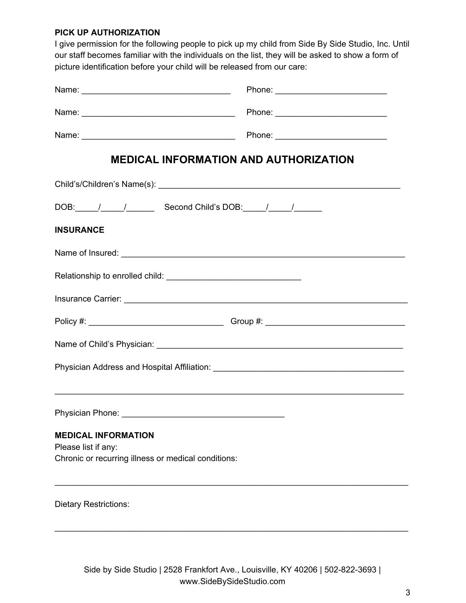#### **PICK UP AUTHORIZATION**

I give permission for the following people to pick up my child from Side By Side Studio, Inc. Until our staff becomes familiar with the individuals on the list, they will be asked to show a form of picture identification before your child will be released from our care:

|                                                                                                          | <b>MEDICAL INFORMATION AND AUTHORIZATION</b>                                      |
|----------------------------------------------------------------------------------------------------------|-----------------------------------------------------------------------------------|
|                                                                                                          |                                                                                   |
|                                                                                                          | DOB: / / / Second Child's DOB: / / /                                              |
| <b>INSURANCE</b>                                                                                         |                                                                                   |
|                                                                                                          |                                                                                   |
|                                                                                                          |                                                                                   |
|                                                                                                          |                                                                                   |
|                                                                                                          |                                                                                   |
|                                                                                                          |                                                                                   |
|                                                                                                          |                                                                                   |
|                                                                                                          | ,我们也不能在这里的人,我们也不能在这里的人,我们也不能在这里的人,我们也不能在这里的人,我们也不能在这里的人,我们也不能在这里的人,我们也不能在这里的人,我们也 |
|                                                                                                          |                                                                                   |
| <b>MEDICAL INFORMATION</b><br>Please list if any:<br>Chronic or recurring illness or medical conditions: |                                                                                   |
| <b>Dietary Restrictions:</b>                                                                             |                                                                                   |

\_\_\_\_\_\_\_\_\_\_\_\_\_\_\_\_\_\_\_\_\_\_\_\_\_\_\_\_\_\_\_\_\_\_\_\_\_\_\_\_\_\_\_\_\_\_\_\_\_\_\_\_\_\_\_\_\_\_\_\_\_\_\_\_\_\_\_\_\_\_\_\_\_\_\_\_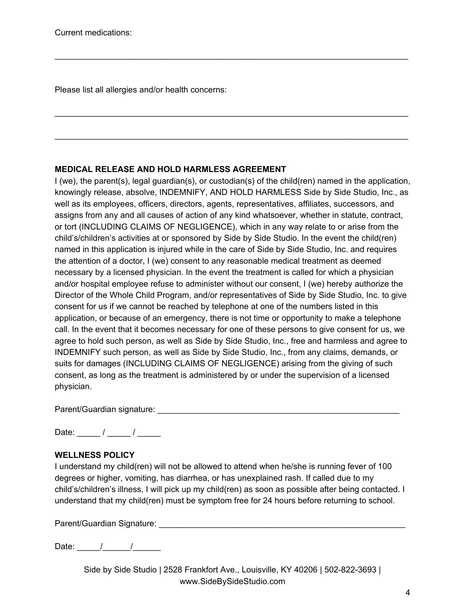Please list all allergies and/or health concerns:

# **MEDICAL RELEASE AND HOLD HARMLESS AGREEMENT**

I (we), the parent(s), legal guardian(s), or custodian(s) of the child(ren) named in the application, knowingly release, absolve, INDEMNIFY, AND HOLD HARMLESS Side by Side Studio, Inc., as well as its employees, officers, directors, agents, representatives, affiliates, successors, and assigns from any and all causes of action of any kind whatsoever, whether in statute, contract, or tort (INCLUDING CLAIMS OF NEGLIGENCE), which in any way relate to or arise from the child's/children's activities at or sponsored by Side by Side Studio. In the event the child(ren) named in this application is injured while in the care of Side by Side Studio, Inc. and requires the attention of a doctor, I (we) consent to any reasonable medical treatment as deemed necessary by a licensed physician. In the event the treatment is called for which a physician and/or hospital employee refuse to administer without our consent, I (we) hereby authorize the Director of the Whole Child Program, and/or representatives of Side by Side Studio, Inc. to give consent for us if we cannot be reached by telephone at one of the numbers listed in this application, or because of an emergency, there is not time or opportunity to make a telephone call. In the event that it becomes necessary for one of these persons to give consent for us, we agree to hold such person, as well as Side by Side Studio, Inc., free and harmless and agree to INDEMNIFY such person, as well as Side by Side Studio, Inc., from any claims, demands, or suits for damages (INCLUDING CLAIMS OF NEGLIGENCE) arising from the giving of such consent, as long as the treatment is administered by or under the supervision of a licensed physician.

\_\_\_\_\_\_\_\_\_\_\_\_\_\_\_\_\_\_\_\_\_\_\_\_\_\_\_\_\_\_\_\_\_\_\_\_\_\_\_\_\_\_\_\_\_\_\_\_\_\_\_\_\_\_\_\_\_\_\_\_\_\_\_\_\_\_\_\_\_\_\_\_\_\_\_\_

\_\_\_\_\_\_\_\_\_\_\_\_\_\_\_\_\_\_\_\_\_\_\_\_\_\_\_\_\_\_\_\_\_\_\_\_\_\_\_\_\_\_\_\_\_\_\_\_\_\_\_\_\_\_\_\_\_\_\_\_\_\_\_\_\_\_\_\_\_\_\_\_\_\_\_\_

\_\_\_\_\_\_\_\_\_\_\_\_\_\_\_\_\_\_\_\_\_\_\_\_\_\_\_\_\_\_\_\_\_\_\_\_\_\_\_\_\_\_\_\_\_\_\_\_\_\_\_\_\_\_\_\_\_\_\_\_\_\_\_\_\_\_\_\_\_\_\_\_\_\_\_\_

Parent/Guardian signature: \_\_\_\_\_\_\_\_\_\_\_\_\_\_\_\_\_\_\_\_\_\_\_\_\_\_\_\_\_\_\_\_\_\_\_\_\_\_\_\_\_\_\_\_\_\_\_\_\_\_\_\_

Date:  $\frac{1}{2}$  /  $\frac{1}{2}$ 

# **WELLNESS POLICY**

I understand my child(ren) will not be allowed to attend when he/she is running fever of 100 degrees or higher, vomiting, has diarrhea, or has unexplained rash. If called due to my child's/children's illness, I will pick up my child(ren) as soon as possible after being contacted. I understand that my child(ren) must be symptom free for 24 hours before returning to school.

Parent/Guardian Signature: \_\_\_\_\_\_\_\_\_\_\_\_\_\_\_\_\_\_\_\_\_\_\_\_\_\_\_\_\_\_\_\_\_\_\_\_\_\_\_\_\_\_\_\_\_\_\_\_\_\_\_\_\_

Date:  $\frac{1}{2}$   $\frac{1}{2}$   $\frac{1}{2}$ 

Side by Side Studio | 2528 Frankfort Ave., Louisville, KY 40206 | 502-822-3693 | www.SideBySideStudio.com